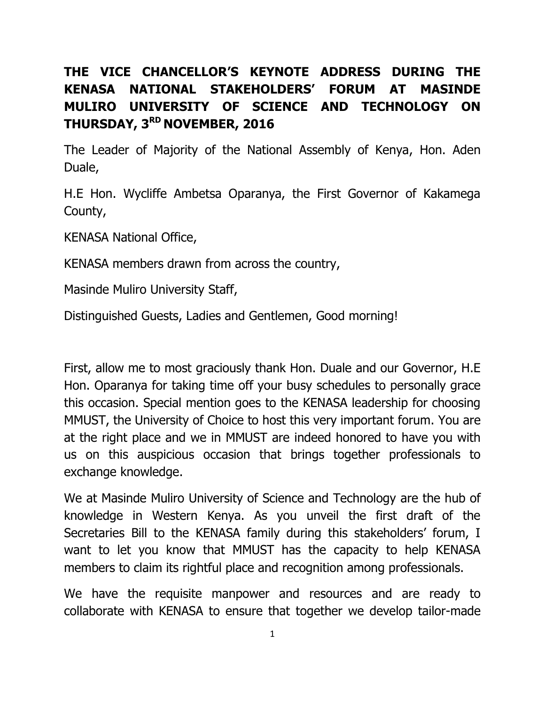## **THE VICE CHANCELLOR'S KEYNOTE ADDRESS DURING THE KENASA NATIONAL STAKEHOLDERS' FORUM AT MASINDE MULIRO UNIVERSITY OF SCIENCE AND TECHNOLOGY ON THURSDAY, 3 RD NOVEMBER, 2016**

The Leader of Majority of the National Assembly of Kenya, Hon. Aden Duale,

H.E Hon. Wycliffe Ambetsa Oparanya, the First Governor of Kakamega County,

KENASA National Office,

KENASA members drawn from across the country,

Masinde Muliro University Staff,

Distinguished Guests, Ladies and Gentlemen, Good morning!

First, allow me to most graciously thank Hon. Duale and our Governor, H.E Hon. Oparanya for taking time off your busy schedules to personally grace this occasion. Special mention goes to the KENASA leadership for choosing MMUST, the University of Choice to host this very important forum. You are at the right place and we in MMUST are indeed honored to have you with us on this auspicious occasion that brings together professionals to exchange knowledge.

We at Masinde Muliro University of Science and Technology are the hub of knowledge in Western Kenya. As you unveil the first draft of the Secretaries Bill to the KENASA family during this stakeholders' forum, I want to let you know that MMUST has the capacity to help KENASA members to claim its rightful place and recognition among professionals.

We have the requisite manpower and resources and are ready to collaborate with KENASA to ensure that together we develop tailor-made